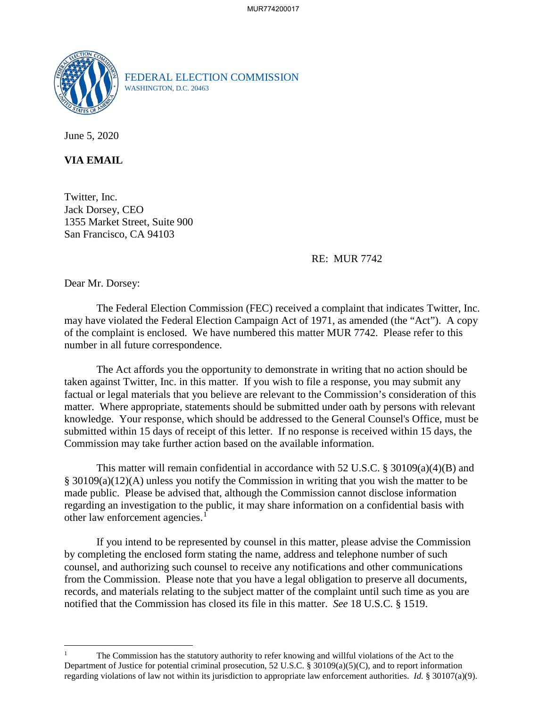

FEDERAL ELECTION COMMISSION WASHINGTON, D.C. 20463

June 5, 2020

**VIA EMAIL**

Twitter, Inc. Jack Dorsey, CEO 1355 Market Street, Suite 900 San Francisco, CA 94103

RE: MUR 7742

Dear Mr. Dorsey:

 $\overline{a}$ 

The Federal Election Commission (FEC) received a complaint that indicates Twitter, Inc. may have violated the Federal Election Campaign Act of 1971, as amended (the "Act"). A copy of the complaint is enclosed. We have numbered this matter MUR 7742. Please refer to this number in all future correspondence.

 The Act affords you the opportunity to demonstrate in writing that no action should be taken against Twitter, Inc. in this matter. If you wish to file a response, you may submit any factual or legal materials that you believe are relevant to the Commission's consideration of this matter. Where appropriate, statements should be submitted under oath by persons with relevant knowledge. Your response, which should be addressed to the General Counsel's Office, must be submitted within 15 days of receipt of this letter. If no response is received within 15 days, the Commission may take further action based on the available information.

This matter will remain confidential in accordance with 52 U.S.C. § 30109(a)(4)(B) and § 30109(a)(12)(A) unless you notify the Commission in writing that you wish the matter to be made public. Please be advised that, although the Commission cannot disclose information regarding an investigation to the public, it may share information on a confidential basis with other law enforcement agencies.<sup>[1](#page-0-0)</sup>

If you intend to be represented by counsel in this matter, please advise the Commission by completing the enclosed form stating the name, address and telephone number of such counsel, and authorizing such counsel to receive any notifications and other communications from the Commission. Please note that you have a legal obligation to preserve all documents, records, and materials relating to the subject matter of the complaint until such time as you are notified that the Commission has closed its file in this matter. *See* 18 U.S.C. § 1519.

<span id="page-0-0"></span><sup>1</sup> The Commission has the statutory authority to refer knowing and willful violations of the Act to the Department of Justice for potential criminal prosecution, 52 U.S.C. § 30109(a)(5)(C), and to report information regarding violations of law not within its jurisdiction to appropriate law enforcement authorities. *Id.* § 30107(a)(9).